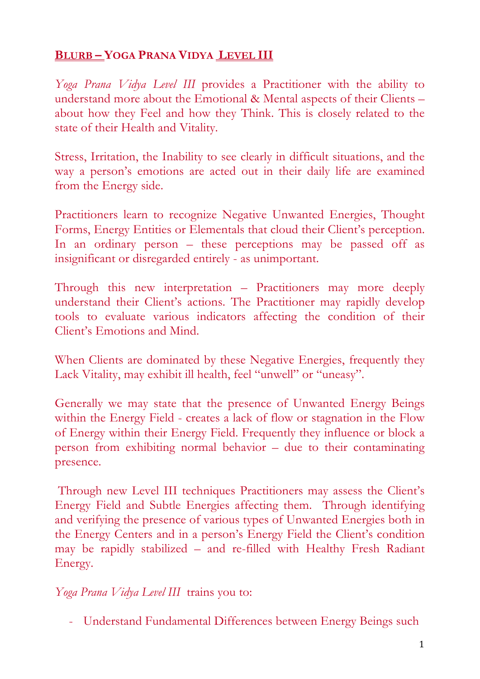## **BLURB – YOGA PRANA VIDYA LEVEL III**

*Yoga Prana Vidya Level III* provides a Practitioner with the ability to understand more about the Emotional & Mental aspects of their Clients – about how they Feel and how they Think. This is closely related to the state of their Health and Vitality.

Stress, Irritation, the Inability to see clearly in difficult situations, and the way a person's emotions are acted out in their daily life are examined from the Energy side.

Practitioners learn to recognize Negative Unwanted Energies, Thought Forms, Energy Entities or Elementals that cloud their Client's perception. In an ordinary person – these perceptions may be passed off as insignificant or disregarded entirely - as unimportant.

Through this new interpretation – Practitioners may more deeply understand their Client's actions. The Practitioner may rapidly develop tools to evaluate various indicators affecting the condition of their Client's Emotions and Mind.

When Clients are dominated by these Negative Energies, frequently they Lack Vitality, may exhibit ill health, feel "unwell" or "uneasy".

Generally we may state that the presence of Unwanted Energy Beings within the Energy Field - creates a lack of flow or stagnation in the Flow of Energy within their Energy Field. Frequently they influence or block a person from exhibiting normal behavior – due to their contaminating presence.

Through new Level III techniques Practitioners may assess the Client's Energy Field and Subtle Energies affecting them. Through identifying and verifying the presence of various types of Unwanted Energies both in the Energy Centers and in a person's Energy Field the Client's condition may be rapidly stabilized – and re-filled with Healthy Fresh Radiant Energy.

*Yoga Prana Vidya Level III* trains you to:

- Understand Fundamental Differences between Energy Beings such